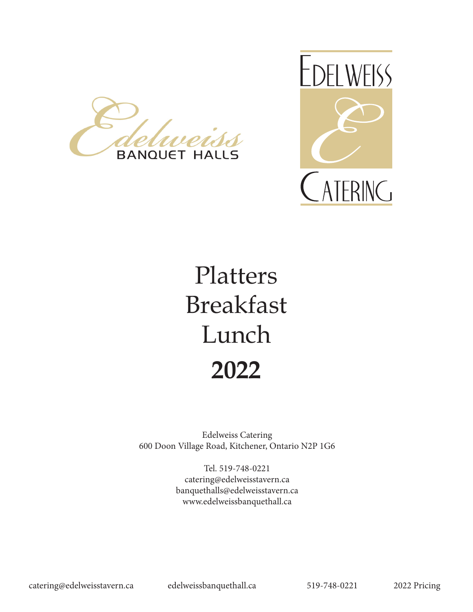



# Platters Breakfast Lunch **2022**

Edelweiss Catering 600 Doon Village Road, Kitchener, Ontario N2P 1G6

> Tel. 519-748-0221 catering@edelweisstavern.ca banquethalls@edelweisstavern.ca www.edelweissbanquethall.ca

catering@edelweisstavern.ca edelweissbanquethall.ca 519-748-0221 2022 Pricing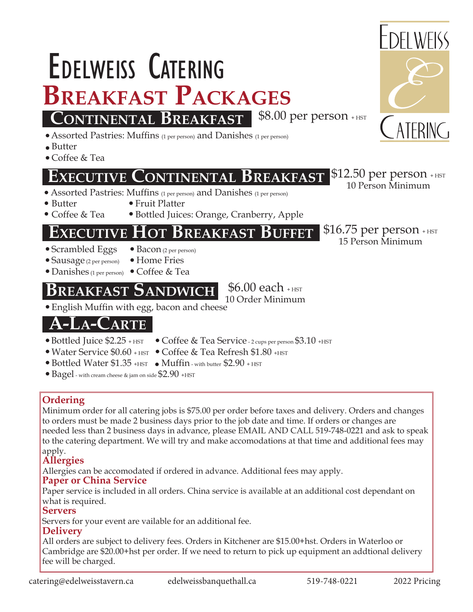**Servers** Servers for your event are vailable for an additional fee.

#### **Delivery**

what is required.

All orders are subject to delivery fees. Orders in Kitchener are \$15.00+hst. Orders in Waterloo or Cambridge are \$20.00+hst per order. If we need to return to pick up equipment an addtional delivery fee will be charged.

Paper service is included in all orders. China service is available at an additional cost dependant on

# apply. **Allergies**

### **Ordering**

**Paper or China Service**

Minimum order for all catering jobs is \$75.00 per order before taxes and delivery. Orders and changes to orders must be made 2 business days prior to the job date and time. If orders or changes are needed less than 2 business days in advance, please EMAIL AND CALL 519-748-0221 and ask to speak to the catering department. We will try and make accomodations at that time and additional fees may

10 Order Minimum

Allergies can be accomodated if ordered in advance. Additional fees may apply.

#### Bottled Juice \$2.25 + HST • Water Service \$0.60 + HST • Coffee & Tea Refresh \$1.80 + HST • Bottled Water \$1.35 + HST • Muffin - with butter \$2.90 + HST  $\bullet$  Bagel - with cream cheese & jam on side \$2.90 +HST

- - Coffee & Tea Service 2 cups per person \$3.10 +HST
	-
	-
- -
	-
- 
- 
- 
- **ARTE** English Muffin with egg, bacon and cheese

Bottled Juices: Orange, Cranberry, Apple

# **REAKFAST BUFFET** \$16.75 per person + HST

**EExecutive xecutive CContinental ontinental Breakfast reakfast**

**BREAKFAST PACKAGES**<br>CONTINENTAL BREAKEAST \$8.00 per person +HST

Butter

Butter

Coffee & Tea

Coffee & Tea

- 
- 

### **Breakfast reakfast SSandwichh**  $$6.00$  each  $_{\rm +HST}$



Edelweiss Catering

<u>'</u>ONTINENTAL **B**REAKFAST

Assorted Pastries: Muffins (1 per person) and Danishes (1 per person)

Assorted Pastries: Muffins (1 per person) and Danishes (1 per person)

Fruit Platter

- -

### Sausage (2 per person)

# Danishes (1 per person) Coffee & Tea



 $$12.50$  per person + HST 10 Person Minimum

15 Person Minimum

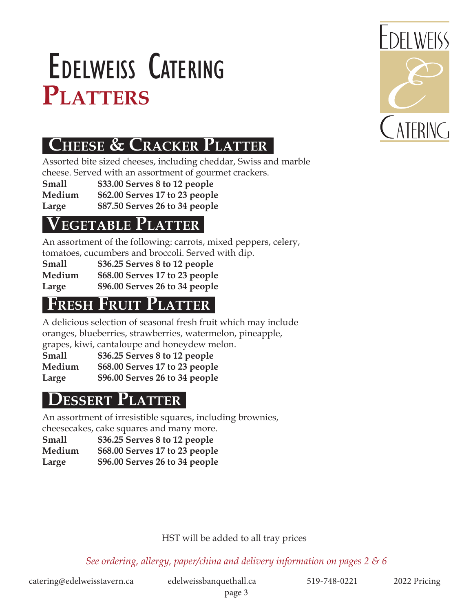# PLATTERS Edelweiss Catering



# **CHEESE & CRACKER PLATTER**

Assorted bite sized cheeses, including cheddar, Swiss and marble cheese. Served with an assortment of gourmet crackers.

**Small \$33.00 Serves 8 to 12 people**

**Medium \$62.00 Serves 17 to 23 people**

**Large \$87.50 Serves 26 to 34 people**

## **EGETABLE PLATTER**

An assortment of the following: carrots, mixed peppers, celery, tomatoes, cucumbers and broccoli. Served with dip.

|        | <u>ionialocs, cucunibers and broccom. Oci ved v</u> |
|--------|-----------------------------------------------------|
| Small  | \$36.25 Serves 8 to 12 people                       |
| Medium | \$68.00 Serves 17 to 23 people                      |
| Large  | \$96.00 Serves 26 to 34 people                      |

# **FRESH FRUIT PLATTER**

A delicious selection of seasonal fresh fruit which may include oranges, blueberries, strawberries, watermelon, pineapple, grapes, kiwi, cantaloupe and honeydew melon.

**Small \$36.25 Serves 8 to 12 people Medium \$68.00 Serves 17 to 23 people Large \$96.00 Serves 26 to 34 people**

# **Dessert Platter**

An assortment of irresistible squares, including brownies, cheesecakes, cake squares and many more.

**Small \$36.25 Serves 8 to 12 people Medium \$68.00 Serves 17 to 23 people Large \$96.00 Serves 26 to 34 people**

### HST will be added to all tray prices

*See ordering, allergy, paper/china and delivery information on pages 2 & 6*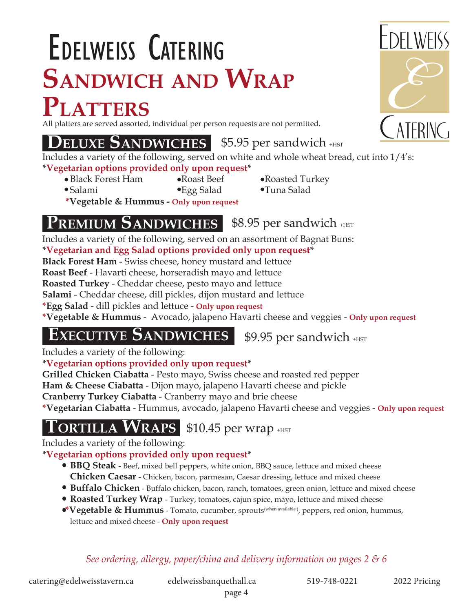# **Sandwich and Wrap Platters** Edelweiss Catering

All platters are served assorted, individual per person requests are not permitted.

## **DELUXE SANDWICHES** \$5.95 per sandwich +HST

Includes a variety of the following, served on white and whole wheat bread, cut into 1/4's: **\*Vegetarian options provided only upon request\***

- Black Forest Ham Roast Beef Roasted Turkey
- 
- 
- Salami Egg Salad Tuna Salad **\*Vegetable & Hummus - Only upon request**

#### **PREMIUM SANDWICHES** \$8.95 per sandwich +HST

Includes a variety of the following, served on an assortment of Bagnat Buns:

**\*Vegetarian and Egg Salad options provided only upon request\***

**Black Forest Ham** - Swiss cheese, honey mustard and lettuce

**Roast Beef** - Havarti cheese, horseradish mayo and lettuce

**Roasted Turkey** - Cheddar cheese, pesto mayo and lettuce

**Salami** - Cheddar cheese, dill pickles, dijon mustard and lettuce

**\*Egg Salad** - dill pickles and lettuce - **Only upon request**

**\*Vegetable & Hummus** - Avocado, jalapeno Havarti cheese and veggies - **Only upon request**

# **EXECUTIVE SANDWICHES** \$9.95 per sandwich +HST

Includes a variety of the following:

### **\*Vegetarian options provided only upon request\***

**Grilled Chicken Ciabatta** - Pesto mayo, Swiss cheese and roasted red pepper

**Ham & Cheese Ciabatta** - Dijon mayo, jalapeno Havarti cheese and pickle

**Cranberry Turkey Ciabatta** - Cranberry mayo and brie cheese

**\*Vegetarian Ciabatta** - Hummus, avocado, jalapeno Havarti cheese and veggies - **Only upon request**

 $\textbf{T}$ ORTILLA  $\textbf{W}$ RAPS \$10.45 per wrap +HST

Includes a variety of the following:

**\*Vegetarian options provided only upon request\***

- **BBQ Steak**  Beef, mixed bell peppers, white onion, BBQ sauce, lettuce and mixed cheese **Chicken Caesar** - Chicken, bacon, parmesan, Caesar dressing, lettuce and mixed cheese
- **Buffalo Chicken** Buffalo chicken, bacon, ranch, tomatoes, green onion, lettuce and mixed cheese
- **Roasted Turkey Wrap**  Turkey, tomatoes, cajun spice, mayo, lettuce and mixed cheese
- **\*Vegetable & Hummus** Tomato, cucumber, sprouts(when available ), peppers, red onion, hummus, lettuce and mixed cheese - **Only upon request**

### *See ordering, allergy, paper/china and delivery information on pages 2 & 6*

catering@edelweisstavern.ca edelweissbanquethall.ca 519-748-0221 2022 Pricing



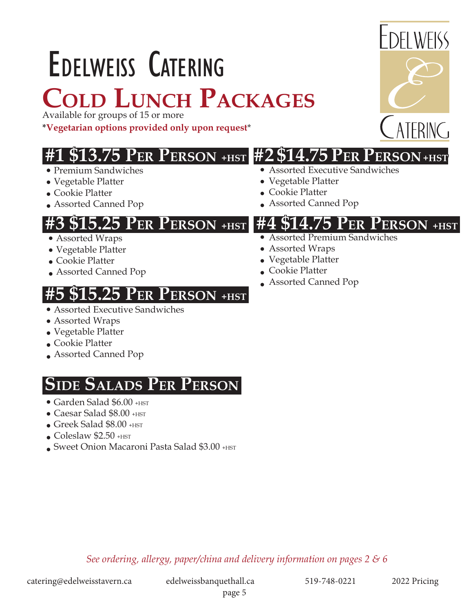# Edelweiss Catering **Cold Lunch Packages**

Available for groups of 15 or more

**\*Vegetarian options provided only upon request**\*

# **#1 \$13.75 Per Person +HST #2 \$14.75 Per Person +HST**

- Premium Sandwiches
- Vegetable Platter
- Cookie Platter
- Assorted Canned Pop

- Assorted Wraps
- Vegetable Platter
- Cookie Platter
- Assorted Canned Pop

# **25 PER PERSON +HST**

- Assorted Executive Sandwiches
- Assorted Wraps
- Vegetable Platter
- Cookie Platter
- Assorted Canned Pop

# **SIDE SALADS PER PERSON**

- Garden Salad \$6.00 + HST
- Caesar Salad \$8.00 + HST
- Greek Salad \$8.00 +HST
- $\bullet$  Coleslaw \$2.50  $+$ HST
- Sweet Onion Macaroni Pasta Salad \$3.00 +HST

DEL WEISS

### Assorted Executive Sandwiches

- Vegetable Platter
- Cookie Platter

## **#3 \$15.25 Per Person +HST #4 \$14.75 Per Person +HST**

- Assorted Premium Sandwiches
- Assorted Wraps
- Vegetable Platter
- Cookie Platter
- Assorted Canned Pop

*See ordering, allergy, paper/china and delivery information on pages 2 & 6*

#### page 5

# Assorted Canned Pop